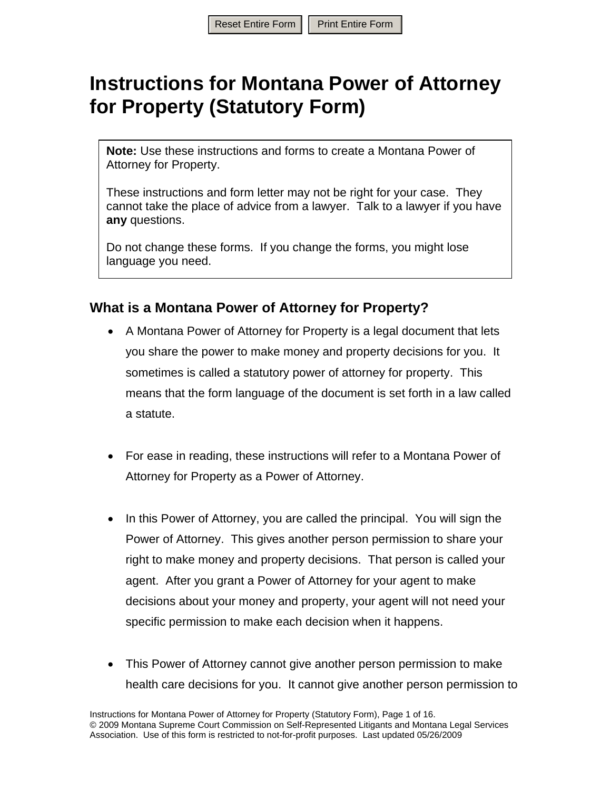# **Instructions for Montana Power of Attorney for Property (Statutory Form)**

**Note:** Use these instructions and forms to create a Montana Power of Attorney for Property.

These instructions and form letter may not be right for your case. They cannot take the place of advice from a lawyer. Talk to a lawyer if you have **any** questions.

Do not change these forms. If you change the forms, you might lose language you need.

## **What is a Montana Power of Attorney for Property?**

- A Montana Power of Attorney for Property is a legal document that lets you share the power to make money and property decisions for you. It sometimes is called a statutory power of attorney for property. This means that the form language of the document is set forth in a law called a statute.
- For ease in reading, these instructions will refer to a Montana Power of Attorney for Property as a Power of Attorney.
- In this Power of Attorney, you are called the principal. You will sign the Power of Attorney. This gives another person permission to share your right to make money and property decisions. That person is called your agent. After you grant a Power of Attorney for your agent to make decisions about your money and property, your agent will not need your specific permission to make each decision when it happens.
- This Power of Attorney cannot give another person permission to make health care decisions for you. It cannot give another person permission to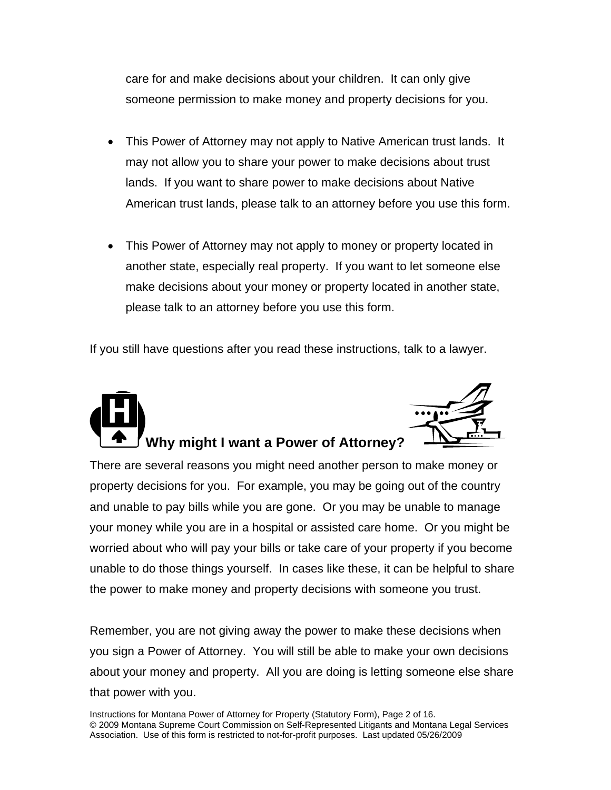care for and make decisions about your children. It can only give someone permission to make money and property decisions for you.

- This Power of Attorney may not apply to Native American trust lands. It may not allow you to share your power to make decisions about trust lands. If you want to share power to make decisions about Native American trust lands, please talk to an attorney before you use this form.
- This Power of Attorney may not apply to money or property located in another state, especially real property. If you want to let someone else make decisions about your money or property located in another state, please talk to an attorney before you use this form.

If you still have questions after you read these instructions, talk to a lawyer.



There are several reasons you might need another person to make money or property decisions for you. For example, you may be going out of the country and unable to pay bills while you are gone. Or you may be unable to manage your money while you are in a hospital or assisted care home. Or you might be worried about who will pay your bills or take care of your property if you become unable to do those things yourself. In cases like these, it can be helpful to share the power to make money and property decisions with someone you trust.

Remember, you are not giving away the power to make these decisions when you sign a Power of Attorney. You will still be able to make your own decisions about your money and property. All you are doing is letting someone else share that power with you.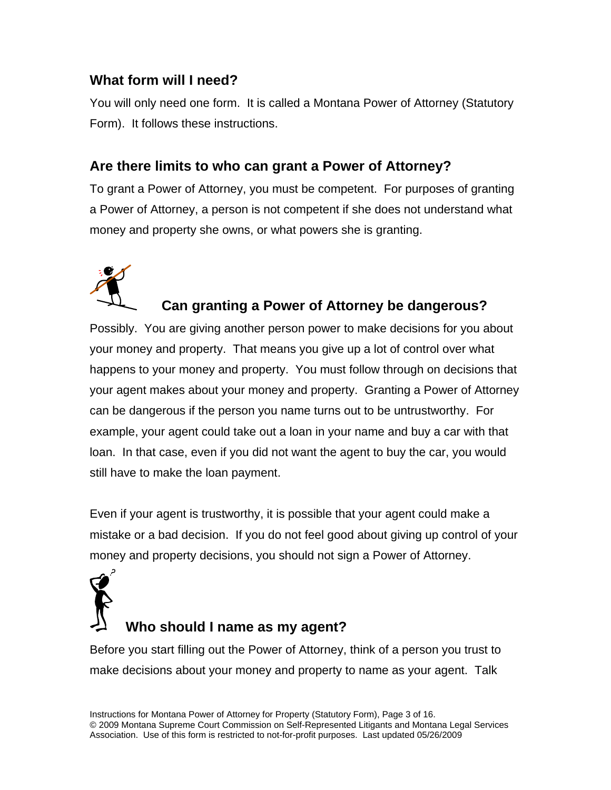# **What form will I need?**

You will only need one form. It is called a Montana Power of Attorney (Statutory Form). It follows these instructions.

# **Are there limits to who can grant a Power of Attorney?**

To grant a Power of Attorney, you must be competent. For purposes of granting a Power of Attorney, a person is not competent if she does not understand what money and property she owns, or what powers she is granting.



# **Can granting a Power of Attorney be dangerous?**

Possibly. You are giving another person power to make decisions for you about your money and property. That means you give up a lot of control over what happens to your money and property. You must follow through on decisions that your agent makes about your money and property. Granting a Power of Attorney can be dangerous if the person you name turns out to be untrustworthy. For example, your agent could take out a loan in your name and buy a car with that loan. In that case, even if you did not want the agent to buy the car, you would still have to make the loan payment.

Even if your agent is trustworthy, it is possible that your agent could make a mistake or a bad decision. If you do not feel good about giving up control of your money and property decisions, you should not sign a Power of Attorney.



# **Who should I name as my agent?**

Before you start filling out the Power of Attorney, think of a person you trust to make decisions about your money and property to name as your agent. Talk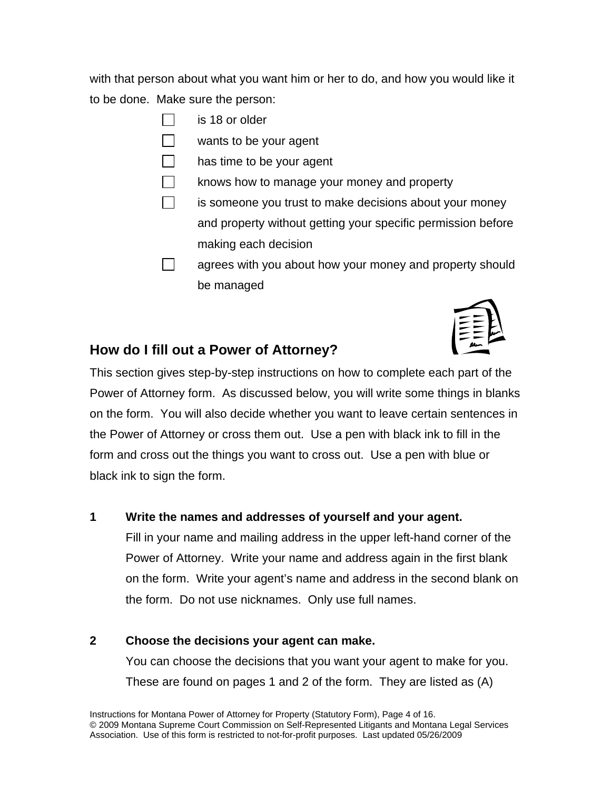with that person about what you want him or her to do, and how you would like it to be done. Make sure the person:

- **is 18 or older**
- wants to be your agent
- has time to be your agent
- knows how to manage your money and property
- is someone you trust to make decisions about your money and property without getting your specific permission before making each decision
- agrees with you about how your money and property should be managed



# **How do I fill out a Power of Attorney?**

This section gives step-by-step instructions on how to complete each part of the Power of Attorney form. As discussed below, you will write some things in blanks on the form. You will also decide whether you want to leave certain sentences in the Power of Attorney or cross them out. Use a pen with black ink to fill in the form and cross out the things you want to cross out. Use a pen with blue or black ink to sign the form.

## **1 Write the names and addresses of yourself and your agent.**

Fill in your name and mailing address in the upper left-hand corner of the Power of Attorney. Write your name and address again in the first blank on the form. Write your agent's name and address in the second blank on the form. Do not use nicknames. Only use full names.

## **2 Choose the decisions your agent can make.**

You can choose the decisions that you want your agent to make for you. These are found on pages 1 and 2 of the form. They are listed as (A)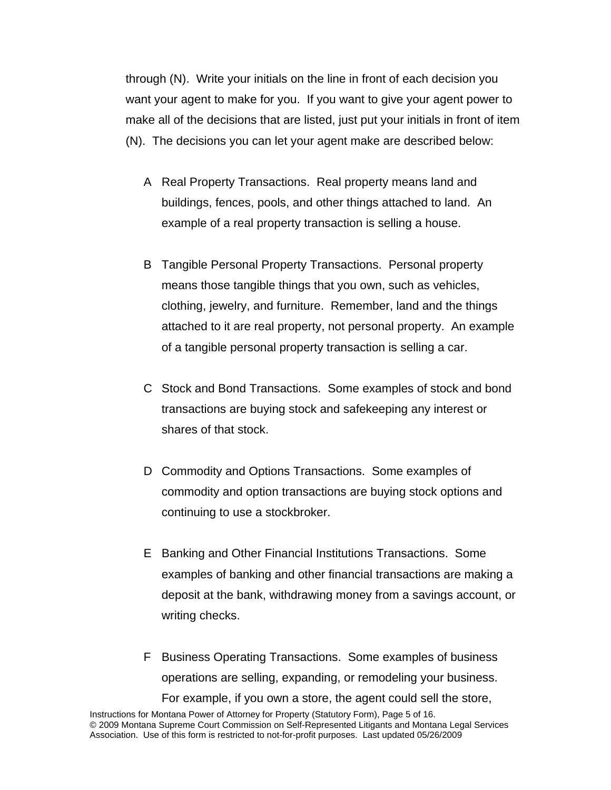through (N). Write your initials on the line in front of each decision you want your agent to make for you. If you want to give your agent power to make all of the decisions that are listed, just put your initials in front of item (N). The decisions you can let your agent make are described below:

- A Real Property Transactions. Real property means land and buildings, fences, pools, and other things attached to land. An example of a real property transaction is selling a house.
- B Tangible Personal Property Transactions. Personal property means those tangible things that you own, such as vehicles, clothing, jewelry, and furniture. Remember, land and the things attached to it are real property, not personal property. An example of a tangible personal property transaction is selling a car.
- C Stock and Bond Transactions. Some examples of stock and bond transactions are buying stock and safekeeping any interest or shares of that stock.
- D Commodity and Options Transactions. Some examples of commodity and option transactions are buying stock options and continuing to use a stockbroker.
- E Banking and Other Financial Institutions Transactions. Some examples of banking and other financial transactions are making a deposit at the bank, withdrawing money from a savings account, or writing checks.
- F Business Operating Transactions. Some examples of business operations are selling, expanding, or remodeling your business. For example, if you own a store, the agent could sell the store,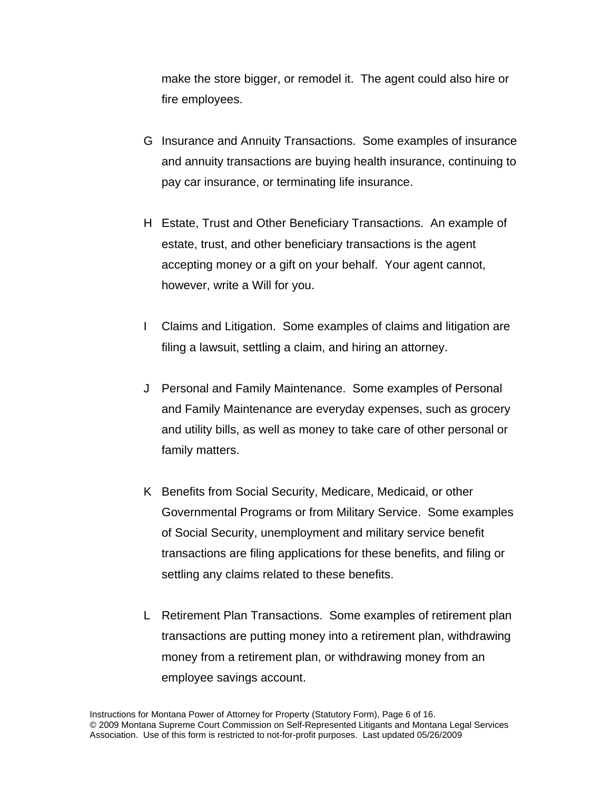make the store bigger, or remodel it. The agent could also hire or fire employees.

- G Insurance and Annuity Transactions. Some examples of insurance and annuity transactions are buying health insurance, continuing to pay car insurance, or terminating life insurance.
- H Estate, Trust and Other Beneficiary Transactions. An example of estate, trust, and other beneficiary transactions is the agent accepting money or a gift on your behalf. Your agent cannot, however, write a Will for you.
- I Claims and Litigation. Some examples of claims and litigation are filing a lawsuit, settling a claim, and hiring an attorney.
- J Personal and Family Maintenance. Some examples of Personal and Family Maintenance are everyday expenses, such as grocery and utility bills, as well as money to take care of other personal or family matters.
- K Benefits from Social Security, Medicare, Medicaid, or other Governmental Programs or from Military Service. Some examples of Social Security, unemployment and military service benefit transactions are filing applications for these benefits, and filing or settling any claims related to these benefits.
- L Retirement Plan Transactions. Some examples of retirement plan transactions are putting money into a retirement plan, withdrawing money from a retirement plan, or withdrawing money from an employee savings account.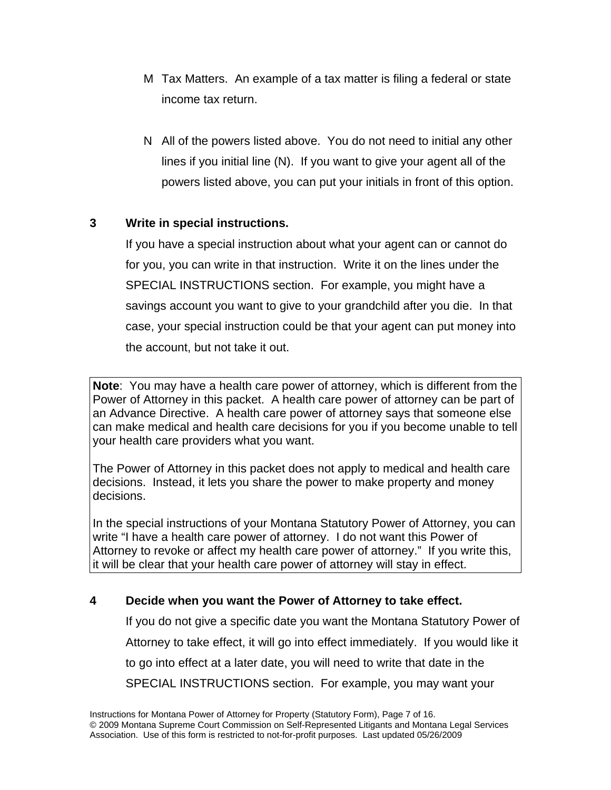- M Tax Matters. An example of a tax matter is filing a federal or state income tax return.
- N All of the powers listed above. You do not need to initial any other lines if you initial line (N). If you want to give your agent all of the powers listed above, you can put your initials in front of this option.

## **3 Write in special instructions.**

If you have a special instruction about what your agent can or cannot do for you, you can write in that instruction. Write it on the lines under the SPECIAL INSTRUCTIONS section. For example, you might have a savings account you want to give to your grandchild after you die. In that case, your special instruction could be that your agent can put money into the account, but not take it out.

**Note**: You may have a health care power of attorney, which is different from the Power of Attorney in this packet. A health care power of attorney can be part of an Advance Directive. A health care power of attorney says that someone else can make medical and health care decisions for you if you become unable to tell your health care providers what you want.

The Power of Attorney in this packet does not apply to medical and health care decisions. Instead, it lets you share the power to make property and money decisions.

In the special instructions of your Montana Statutory Power of Attorney, you can write "I have a health care power of attorney. I do not want this Power of Attorney to revoke or affect my health care power of attorney." If you write this, it will be clear that your health care power of attorney will stay in effect.

## **4 Decide when you want the Power of Attorney to take effect.**

If you do not give a specific date you want the Montana Statutory Power of Attorney to take effect, it will go into effect immediately. If you would like it to go into effect at a later date, you will need to write that date in the SPECIAL INSTRUCTIONS section. For example, you may want your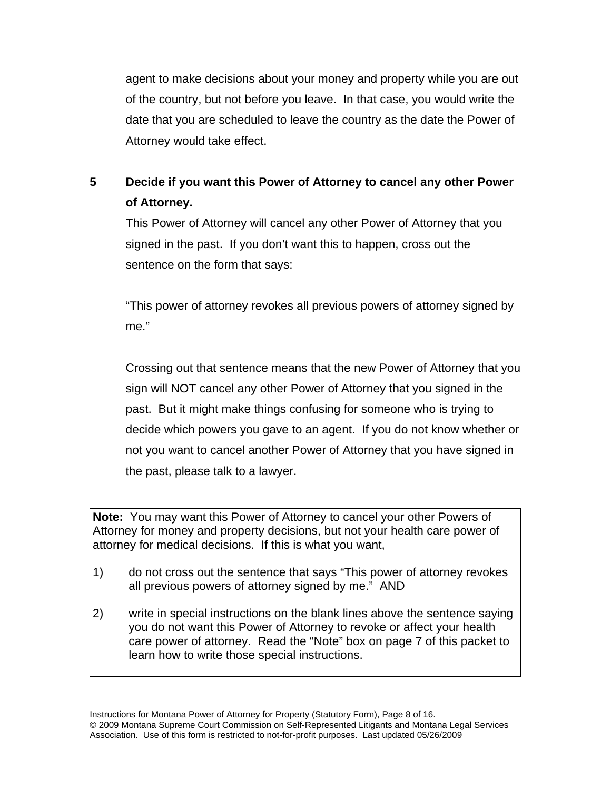agent to make decisions about your money and property while you are out of the country, but not before you leave. In that case, you would write the date that you are scheduled to leave the country as the date the Power of Attorney would take effect.

# **5 Decide if you want this Power of Attorney to cancel any other Power of Attorney.**

This Power of Attorney will cancel any other Power of Attorney that you signed in the past. If you don't want this to happen, cross out the sentence on the form that says:

"This power of attorney revokes all previous powers of attorney signed by me."

Crossing out that sentence means that the new Power of Attorney that you sign will NOT cancel any other Power of Attorney that you signed in the past. But it might make things confusing for someone who is trying to decide which powers you gave to an agent. If you do not know whether or not you want to cancel another Power of Attorney that you have signed in the past, please talk to a lawyer.

**Note:** You may want this Power of Attorney to cancel your other Powers of Attorney for money and property decisions, but not your health care power of attorney for medical decisions. If this is what you want,

- 1) do not cross out the sentence that says "This power of attorney revokes all previous powers of attorney signed by me." AND
- 2) write in special instructions on the blank lines above the sentence saying you do not want this Power of Attorney to revoke or affect your health care power of attorney. Read the "Note" box on page 7 of this packet to learn how to write those special instructions.

Instructions for Montana Power of Attorney for Property (Statutory Form), Page 8 of 16. © 2009 Montana Supreme Court Commission on Self-Represented Litigants and Montana Legal Services Association. Use of this form is restricted to not-for-profit purposes. Last updated 05/26/2009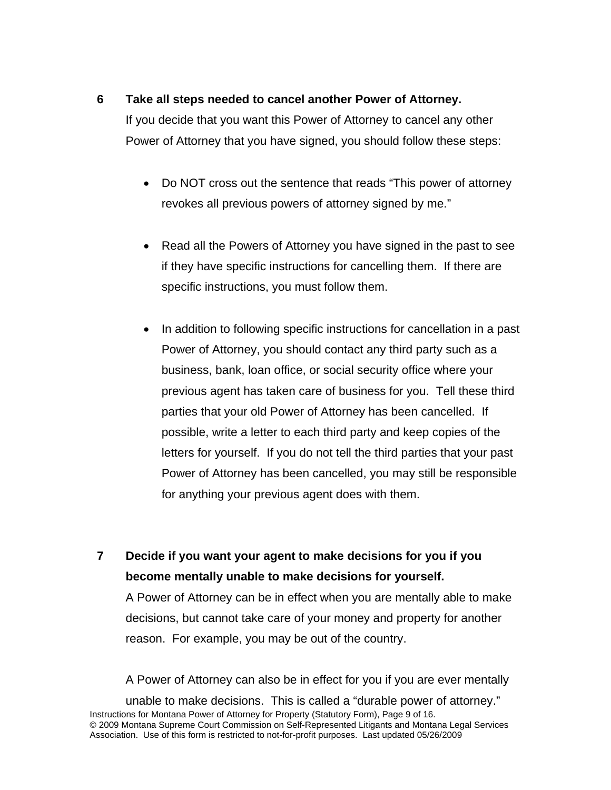## **6 Take all steps needed to cancel another Power of Attorney.**

If you decide that you want this Power of Attorney to cancel any other Power of Attorney that you have signed, you should follow these steps:

- Do NOT cross out the sentence that reads "This power of attorney" revokes all previous powers of attorney signed by me."
- Read all the Powers of Attorney you have signed in the past to see if they have specific instructions for cancelling them. If there are specific instructions, you must follow them.
- In addition to following specific instructions for cancellation in a past Power of Attorney, you should contact any third party such as a business, bank, loan office, or social security office where your previous agent has taken care of business for you. Tell these third parties that your old Power of Attorney has been cancelled. If possible, write a letter to each third party and keep copies of the letters for yourself. If you do not tell the third parties that your past Power of Attorney has been cancelled, you may still be responsible for anything your previous agent does with them.

**7 Decide if you want your agent to make decisions for you if you become mentally unable to make decisions for yourself.**

A Power of Attorney can be in effect when you are mentally able to make decisions, but cannot take care of your money and property for another reason. For example, you may be out of the country.

A Power of Attorney can also be in effect for you if you are ever mentally

Instructions for Montana Power of Attorney for Property (Statutory Form), Page 9 of 16. © 2009 Montana Supreme Court Commission on Self-Represented Litigants and Montana Legal Services Association. Use of this form is restricted to not-for-profit purposes. Last updated 05/26/2009 unable to make decisions. This is called a "durable power of attorney."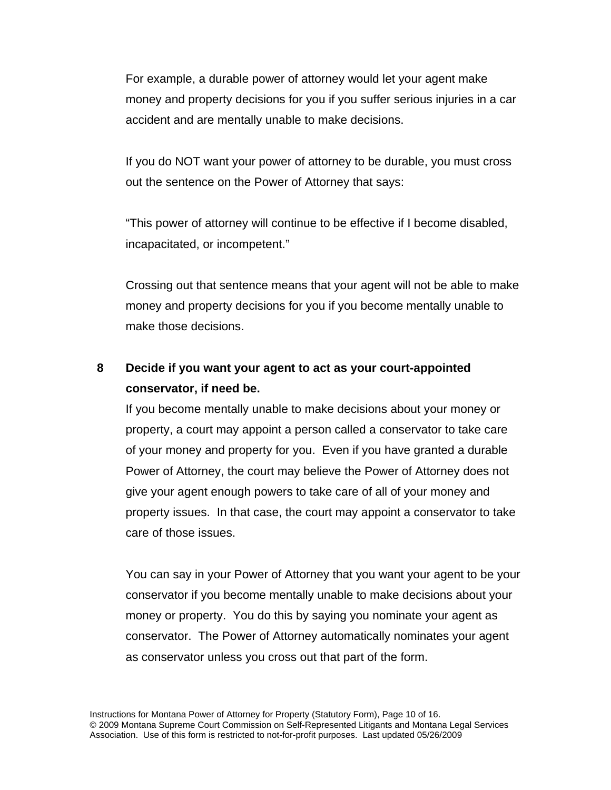For example, a durable power of attorney would let your agent make money and property decisions for you if you suffer serious injuries in a car accident and are mentally unable to make decisions.

If you do NOT want your power of attorney to be durable, you must cross out the sentence on the Power of Attorney that says:

"This power of attorney will continue to be effective if I become disabled, incapacitated, or incompetent."

Crossing out that sentence means that your agent will not be able to make money and property decisions for you if you become mentally unable to make those decisions.

# **8 Decide if you want your agent to act as your court-appointed conservator, if need be.**

If you become mentally unable to make decisions about your money or property, a court may appoint a person called a conservator to take care of your money and property for you. Even if you have granted a durable Power of Attorney, the court may believe the Power of Attorney does not give your agent enough powers to take care of all of your money and property issues. In that case, the court may appoint a conservator to take care of those issues.

You can say in your Power of Attorney that you want your agent to be your conservator if you become mentally unable to make decisions about your money or property. You do this by saying you nominate your agent as conservator. The Power of Attorney automatically nominates your agent as conservator unless you cross out that part of the form.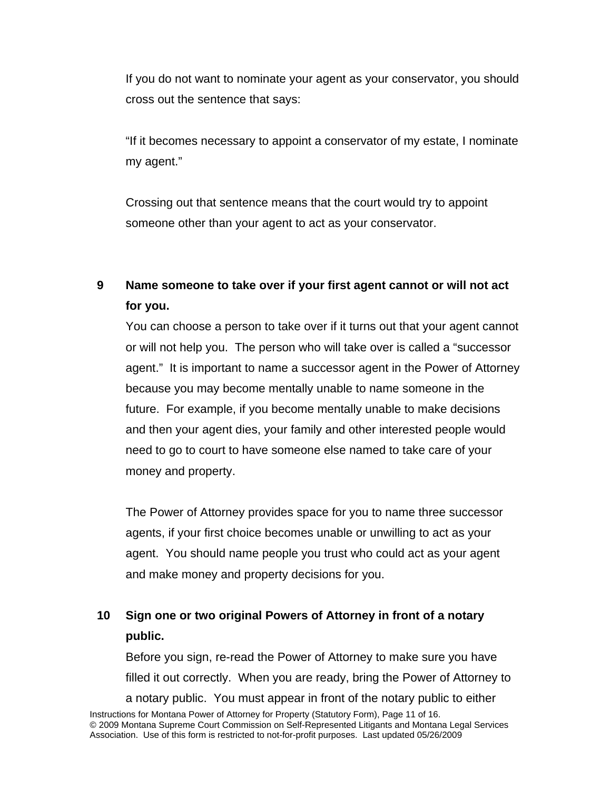If you do not want to nominate your agent as your conservator, you should cross out the sentence that says:

"If it becomes necessary to appoint a conservator of my estate, I nominate my agent."

Crossing out that sentence means that the court would try to appoint someone other than your agent to act as your conservator.

# **9 Name someone to take over if your first agent cannot or will not act for you.**

You can choose a person to take over if it turns out that your agent cannot or will not help you. The person who will take over is called a "successor agent." It is important to name a successor agent in the Power of Attorney because you may become mentally unable to name someone in the future. For example, if you become mentally unable to make decisions and then your agent dies, your family and other interested people would need to go to court to have someone else named to take care of your money and property.

The Power of Attorney provides space for you to name three successor agents, if your first choice becomes unable or unwilling to act as your agent. You should name people you trust who could act as your agent and make money and property decisions for you.

# **10 Sign one or two original Powers of Attorney in front of a notary public.**

Instructions for Montana Power of Attorney for Property (Statutory Form), Page 11 of 16. Before you sign, re-read the Power of Attorney to make sure you have filled it out correctly. When you are ready, bring the Power of Attorney to a notary public. You must appear in front of the notary public to either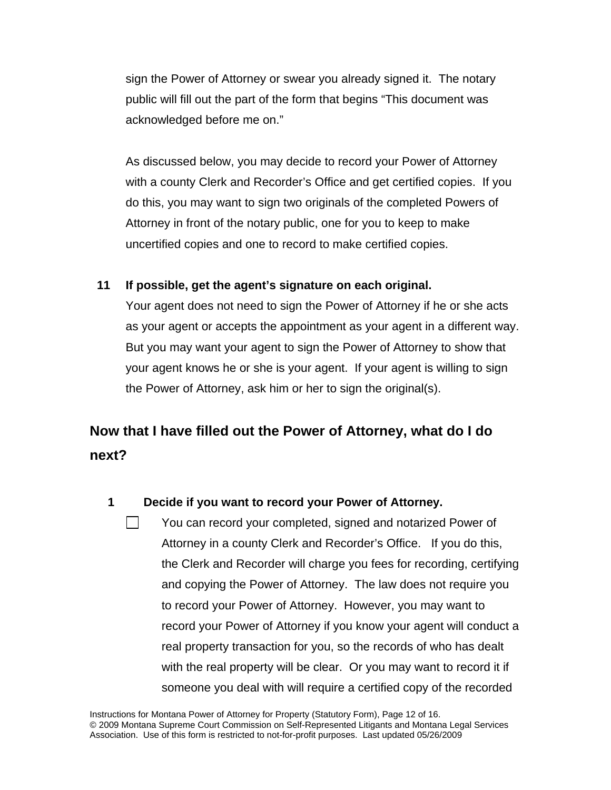sign the Power of Attorney or swear you already signed it. The notary public will fill out the part of the form that begins "This document was acknowledged before me on."

As discussed below, you may decide to record your Power of Attorney with a county Clerk and Recorder's Office and get certified copies. If you do this, you may want to sign two originals of the completed Powers of Attorney in front of the notary public, one for you to keep to make uncertified copies and one to record to make certified copies.

## **11 If possible, get the agent's signature on each original.**

Your agent does not need to sign the Power of Attorney if he or she acts as your agent or accepts the appointment as your agent in a different way. But you may want your agent to sign the Power of Attorney to show that your agent knows he or she is your agent. If your agent is willing to sign the Power of Attorney, ask him or her to sign the original(s).

# **Now that I have filled out the Power of Attorney, what do I do next?**

## **1 Decide if you want to record your Power of Attorney.**

 You can record your completed, signed and notarized Power of Attorney in a county Clerk and Recorder's Office. If you do this, the Clerk and Recorder will charge you fees for recording, certifying and copying the Power of Attorney. The law does not require you to record your Power of Attorney. However, you may want to record your Power of Attorney if you know your agent will conduct a real property transaction for you, so the records of who has dealt with the real property will be clear. Or you may want to record it if someone you deal with will require a certified copy of the recorded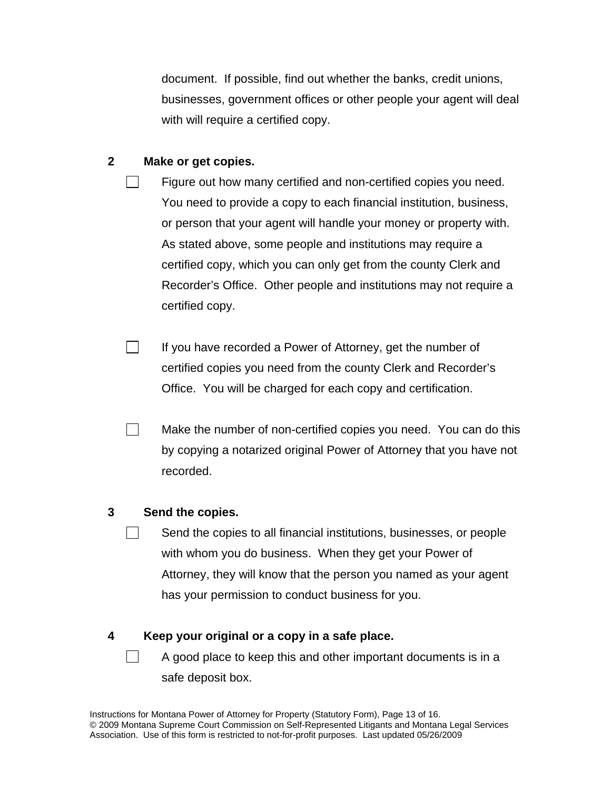document. If possible, find out whether the banks, credit unions, businesses, government offices or other people your agent will deal with will require a certified copy.

#### **2 Make or get copies.**

- Figure out how many certified and non-certified copies you need. You need to provide a copy to each financial institution, business, or person that your agent will handle your money or property with. As stated above, some people and institutions may require a certified copy, which you can only get from the county Clerk and Recorder's Office. Other people and institutions may not require a certified copy.
- $\Box$  If you have recorded a Power of Attorney, get the number of certified copies you need from the county Clerk and Recorder's Office. You will be charged for each copy and certification.
- **Make the number of non-certified copies you need. You can do this** by copying a notarized original Power of Attorney that you have not recorded.

#### **3 Send the copies.**

 $\vert \ \vert$  Send the copies to all financial institutions, businesses, or people with whom you do business. When they get your Power of Attorney, they will know that the person you named as your agent has your permission to conduct business for you.

### **4 Keep your original or a copy in a safe place.**

 $\Box$  A good place to keep this and other important documents is in a safe deposit box.

Instructions for Montana Power of Attorney for Property (Statutory Form), Page 13 of 16. © 2009 Montana Supreme Court Commission on Self-Represented Litigants and Montana Legal Services Association. Use of this form is restricted to not-for-profit purposes. Last updated 05/26/2009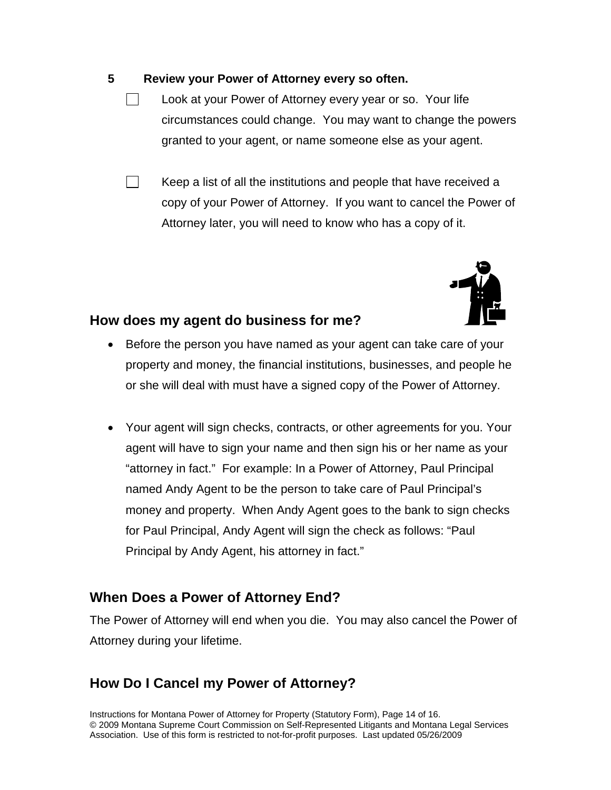### **5 Review your Power of Attorney every so often.**

- Look at your Power of Attorney every year or so. Your life circumstances could change. You may want to change the powers granted to your agent, or name someone else as your agent.
- $\vert \ \vert$  Keep a list of all the institutions and people that have received a copy of your Power of Attorney. If you want to cancel the Power of Attorney later, you will need to know who has a copy of it.



## **How does my agent do business for me?**

- Before the person you have named as your agent can take care of your property and money, the financial institutions, businesses, and people he or she will deal with must have a signed copy of the Power of Attorney.
- Your agent will sign checks, contracts, or other agreements for you. Your agent will have to sign your name and then sign his or her name as your "attorney in fact." For example: In a Power of Attorney, Paul Principal named Andy Agent to be the person to take care of Paul Principal's money and property. When Andy Agent goes to the bank to sign checks for Paul Principal, Andy Agent will sign the check as follows: "Paul Principal by Andy Agent, his attorney in fact."

## **When Does a Power of Attorney End?**

The Power of Attorney will end when you die. You may also cancel the Power of Attorney during your lifetime.

## **How Do I Cancel my Power of Attorney?**

Instructions for Montana Power of Attorney for Property (Statutory Form), Page 14 of 16. © 2009 Montana Supreme Court Commission on Self-Represented Litigants and Montana Legal Services Association. Use of this form is restricted to not-for-profit purposes. Last updated 05/26/2009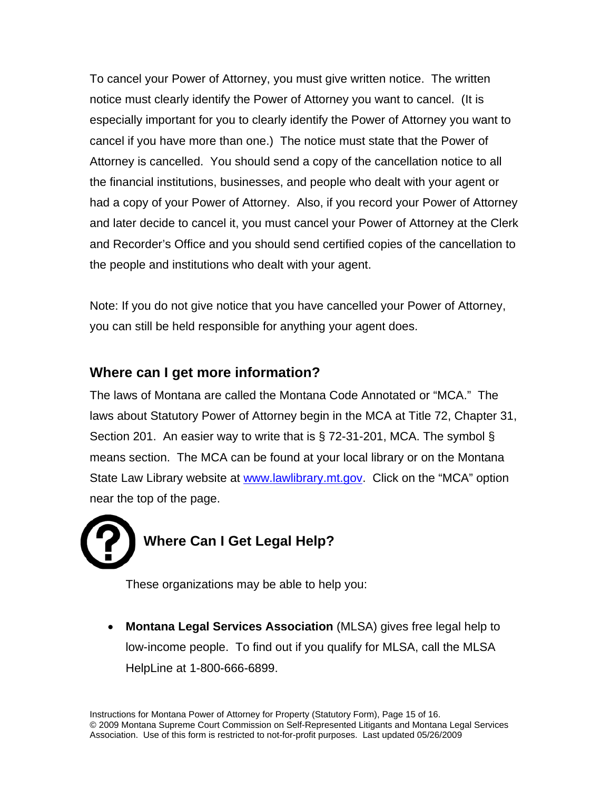To cancel your Power of Attorney, you must give written notice. The written notice must clearly identify the Power of Attorney you want to cancel. (It is especially important for you to clearly identify the Power of Attorney you want to cancel if you have more than one.) The notice must state that the Power of Attorney is cancelled. You should send a copy of the cancellation notice to all the financial institutions, businesses, and people who dealt with your agent or had a copy of your Power of Attorney. Also, if you record your Power of Attorney and later decide to cancel it, you must cancel your Power of Attorney at the Clerk and Recorder's Office and you should send certified copies of the cancellation to the people and institutions who dealt with your agent.

Note: If you do not give notice that you have cancelled your Power of Attorney, you can still be held responsible for anything your agent does.

# **Where can I get more information?**

The laws of Montana are called the Montana Code Annotated or "MCA." The laws about Statutory Power of Attorney begin in the MCA at Title 72, Chapter 31, Section 201. An easier way to write that is § 72-31-201, MCA. The symbol § means section. The MCA can be found at your local library or on the Montana State Law Library website at [www.lawlibrary.mt.gov](http://www.lawlibrary.mt.gov/). Click on the "MCA" option near the top of the page.

# **Where Can I Get Legal Help?**

These organizations may be able to help you:

 **Montana Legal Services Association** (MLSA) gives free legal help to low-income people. To find out if you qualify for MLSA, call the MLSA HelpLine at 1-800-666-6899.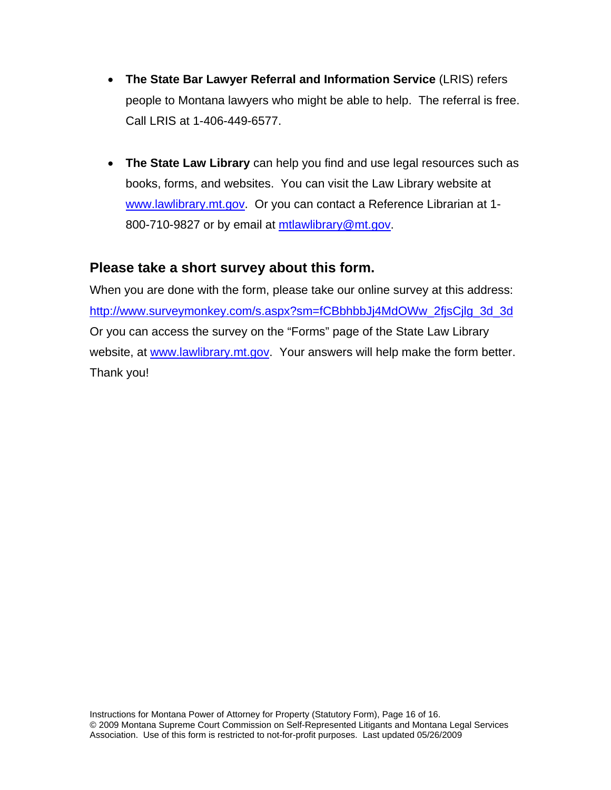- **The State Bar Lawyer Referral and Information Service** (LRIS) refers people to Montana lawyers who might be able to help. The referral is free. Call LRIS at 1-406-449-6577.
- **The State Law Library** can help you find and use legal resources such as books, forms, and websites. You can visit the Law Library website at [www.lawlibrary.mt.gov](http://www.lawlibrary.mt.gov/). Or you can contact a Reference Librarian at 1 800-710-9827 or by email at [mtlawlibrary@mt.gov.](mailto:mtlawlibrary@mt.gov)

## **Please take a short survey about this form.**

When you are done with the form, please take our online survey at this address: [http://www.surveymonkey.com/s.aspx?sm=fCBbhbbJj4MdOWw\\_2fjsCjlg\\_3d\\_3d](http://www.surveymonkey.com/s.aspx?sm=fCBbhbbJj4MdOWw_2fjsCjlg_3d_3d) Or you can access the survey on the "Forms" page of the State Law Library website, at [www.lawlibrary.mt.gov](http://www.lawlibrary.mt.gov/). Your answers will help make the form better. Thank you!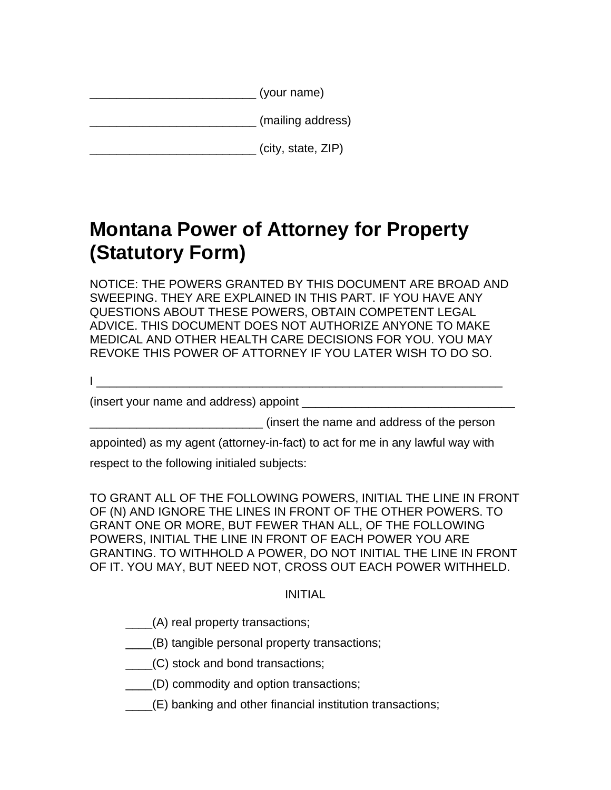| (your name) |
|-------------|
|             |

|  | (mailing address) |
|--|-------------------|
|  |                   |

|  |  | (city, state, ZIP) |  |
|--|--|--------------------|--|
|--|--|--------------------|--|

# **Montana Power of Attorney for Property (Statutory Form)**

NOTICE: THE POWERS GRANTED BY THIS DOCUMENT ARE BROAD AND SWEEPING. THEY ARE EXPLAINED IN THIS PART. IF YOU HAVE ANY QUESTIONS ABOUT THESE POWERS, OBTAIN COMPETENT LEGAL ADVICE. THIS DOCUMENT DOES NOT AUTHORIZE ANYONE TO MAKE MEDICAL AND OTHER HEALTH CARE DECISIONS FOR YOU. YOU MAY REVOKE THIS POWER OF ATTORNEY IF YOU LATER WISH TO DO SO.

I \_\_\_\_\_\_\_\_\_\_\_\_\_\_\_\_\_\_\_\_\_\_\_\_\_\_\_\_\_\_\_\_\_\_\_\_\_\_\_\_\_\_\_\_\_\_\_\_\_\_\_\_\_\_\_\_\_\_\_\_\_

(insert your name and address) appoint

\_\_\_\_\_\_\_\_\_\_\_\_\_\_\_\_\_\_\_\_\_\_\_\_\_\_ (insert the name and address of the person

appointed) as my agent (attorney-in-fact) to act for me in any lawful way with

respect to the following initialed subjects:

TO GRANT ALL OF THE FOLLOWING POWERS, INITIAL THE LINE IN FRONT OF (N) AND IGNORE THE LINES IN FRONT OF THE OTHER POWERS. TO GRANT ONE OR MORE, BUT FEWER THAN ALL, OF THE FOLLOWING POWERS, INITIAL THE LINE IN FRONT OF EACH POWER YOU ARE GRANTING. TO WITHHOLD A POWER, DO NOT INITIAL THE LINE IN FRONT OF IT. YOU MAY, BUT NEED NOT, CROSS OUT EACH POWER WITHHELD.

## INITIAL

- \_\_\_\_(A) real property transactions;
- \_\_\_\_(B) tangible personal property transactions;
- \_\_\_\_(C) stock and bond transactions;
- \_\_\_\_(D) commodity and option transactions;
- \_\_\_\_(E) banking and other financial institution transactions;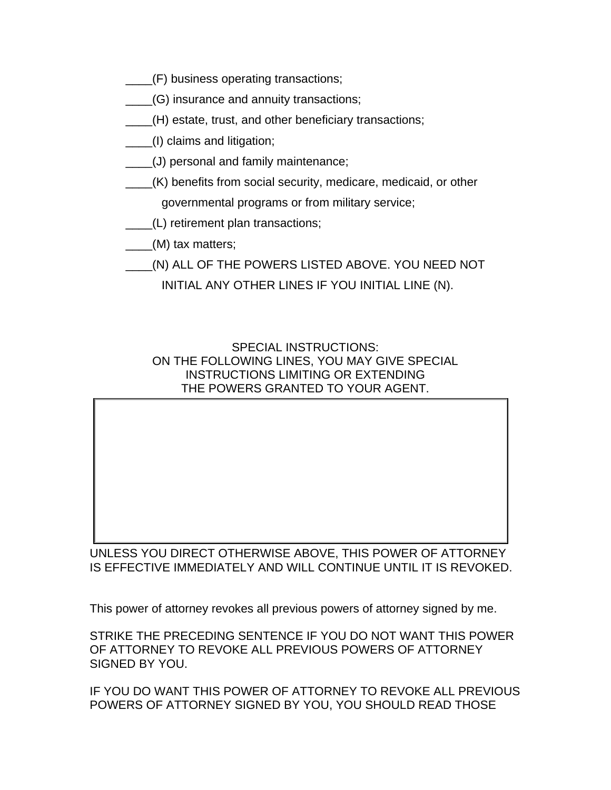- \_\_\_\_(F) business operating transactions;
- \_\_\_\_(G) insurance and annuity transactions;
- \_\_\_\_(H) estate, trust, and other beneficiary transactions;
- \_\_\_\_(I) claims and litigation;
- \_\_\_\_(J) personal and family maintenance;
- \_\_\_\_(K) benefits from social security, medicare, medicaid, or other governmental programs or from military service;
- \_\_\_\_(L) retirement plan transactions;
- \_\_\_(M) tax matters;
- \_\_\_\_(N) ALL OF THE POWERS LISTED ABOVE. YOU NEED NOT

INITIAL ANY OTHER LINES IF YOU INITIAL LINE (N).

SPECIAL INSTRUCTIONS: ON THE FOLLOWING LINES, YOU MAY GIVE SPECIAL INSTRUCTIONS LIMITING OR EXTENDING THE POWERS GRANTED TO YOUR AGENT.

 $\blacksquare$  . The contract of the contract of the contract of the contract of the contract of the contract of the contract of

 $\blacksquare$  . The contract of the contract of the contract of the contract of the contract of the contract of the contract of

 $\blacksquare$  . The contract of the contract of the contract of the contract of the contract of the contract of the contract of

 $\blacksquare$  . The contract of the contract of the contract of the contract of the contract of the contract of the contract of

 $\blacksquare$  . The contract of the contract of the contract of the contract of the contract of the contract of the contract of

 $\blacksquare$  . The contract of the contract of the contract of the contract of the contract of the contract of the contract of

UNLESS YOU DIRECT OTHERWISE ABOVE, THIS POWER OF ATTORNEY IS EFFECTIVE IMMEDIATELY AND WILL CONTINUE UNTIL IT IS REVOKED.

This power of attorney revokes all previous powers of attorney signed by me.

STRIKE THE PRECEDING SENTENCE IF YOU DO NOT WANT THIS POWER OF ATTORNEY TO REVOKE ALL PREVIOUS POWERS OF ATTORNEY SIGNED BY YOU.

IF YOU DO WANT THIS POWER OF ATTORNEY TO REVOKE ALL PREVIOUS POWERS OF ATTORNEY SIGNED BY YOU, YOU SHOULD READ THOSE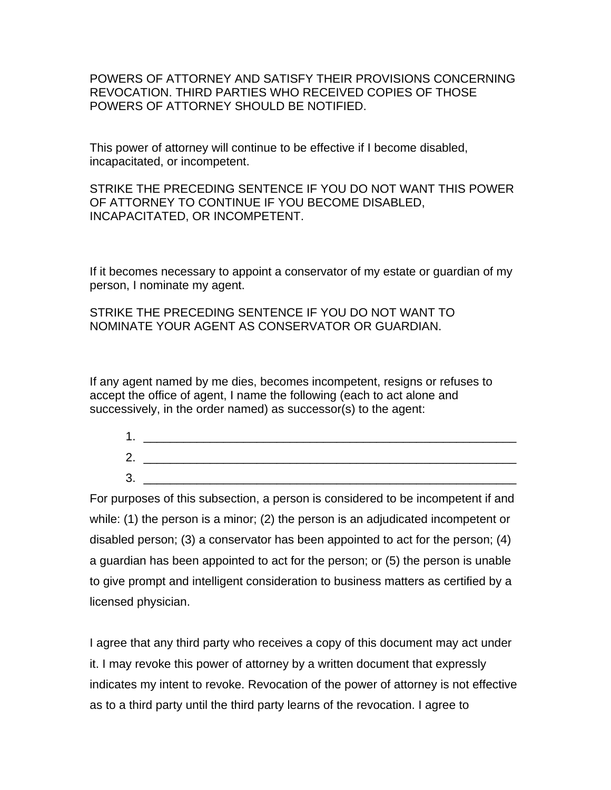POWERS OF ATTORNEY AND SATISFY THEIR PROVISIONS CONCERNING REVOCATION. THIRD PARTIES WHO RECEIVED COPIES OF THOSE POWERS OF ATTORNEY SHOULD BE NOTIFIED.

This power of attorney will continue to be effective if I become disabled, incapacitated, or incompetent.

STRIKE THE PRECEDING SENTENCE IF YOU DO NOT WANT THIS POWER OF ATTORNEY TO CONTINUE IF YOU BECOME DISABLED, INCAPACITATED, OR INCOMPETENT.

If it becomes necessary to appoint a conservator of my estate or guardian of my person, I nominate my agent.

STRIKE THE PRECEDING SENTENCE IF YOU DO NOT WANT TO NOMINATE YOUR AGENT AS CONSERVATOR OR GUARDIAN.

If any agent named by me dies, becomes incompetent, resigns or refuses to accept the office of agent, I name the following (each to act alone and successively, in the order named) as successor(s) to the agent:

1. \_\_\_\_\_\_\_\_\_\_\_\_\_\_\_\_\_\_\_\_\_\_\_\_\_\_\_\_\_\_\_\_\_\_\_\_\_\_\_\_\_\_\_\_\_\_\_\_\_\_\_\_\_\_\_\_ 2. \_\_\_\_\_\_\_\_\_\_\_\_\_\_\_\_\_\_\_\_\_\_\_\_\_\_\_\_\_\_\_\_\_\_\_\_\_\_\_\_\_\_\_\_\_\_\_\_\_\_\_\_\_\_\_\_  $3.$ 

For purposes of this subsection, a person is considered to be incompetent if and while: (1) the person is a minor; (2) the person is an adjudicated incompetent or disabled person; (3) a conservator has been appointed to act for the person; (4) a guardian has been appointed to act for the person; or (5) the person is unable to give prompt and intelligent consideration to business matters as certified by a licensed physician.

I agree that any third party who receives a copy of this document may act under it. I may revoke this power of attorney by a written document that expressly indicates my intent to revoke. Revocation of the power of attorney is not effective as to a third party until the third party learns of the revocation. I agree to